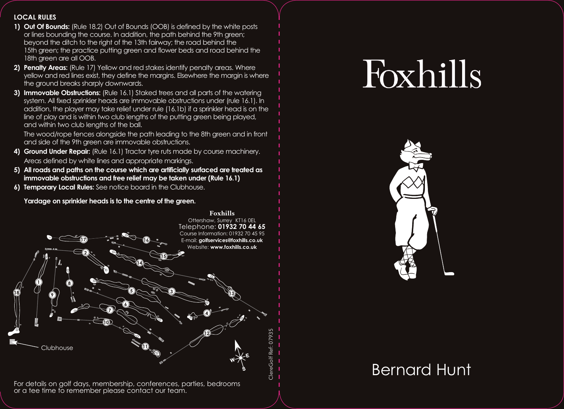## **LOCAL RULES**

- **1) Out Of Bounds:** (Rule 18.2) Out of Bounds (OOB) is defined by the white posts or lines bounding the course. In addition, the path behind the 9th green; beyond the ditch to the right of the 13th fairway; the road behind the 15th green; the practice putting green and flower beds and road behind the 18th areen are all OOB.
- **2) Penalty Areas:** (Rule 17) Yellow and red stakes identify penalty areas. Where yellow and red lines exist, they define the margins. Elsewhere the margin is where the ground breaks sharply downwards.
- **3) Immovable Obstructions:** (Rule 16.1) Staked trees and all parts of the watering system. All fixed sprinkler heads are immovable obstructions under (rule 16.1). In addition, the player may take relief under rule (16.1b) if a sprinkler head is on the line of play and is within two club lengths of the putting green being played, and within two club lengths of the ball.

The wood/rope fences alongside the path leading to the 8th green and in front and side of the 9th green are immovable obstructions.

- **4) Ground Under Repair:** (Rule 16.1) Tractor tyre ruts made by course machinery. Areas defined by white lines and appropriate markings.
- **5) All roads and paths on the course which are artificially surfaced are treated as immovable obstructions and free relief may be taken under (Rule 16.1)**
- **6) Temporary Local Rules:** See notice board in the Clubhouse.

## **Yardage on sprinkler heads is to the centre of the green.**



For details on golf days, membership, conferences, parties, bedrooms or a tee time to remember please contact our team.

## Foxhills



## Bernard Hunt